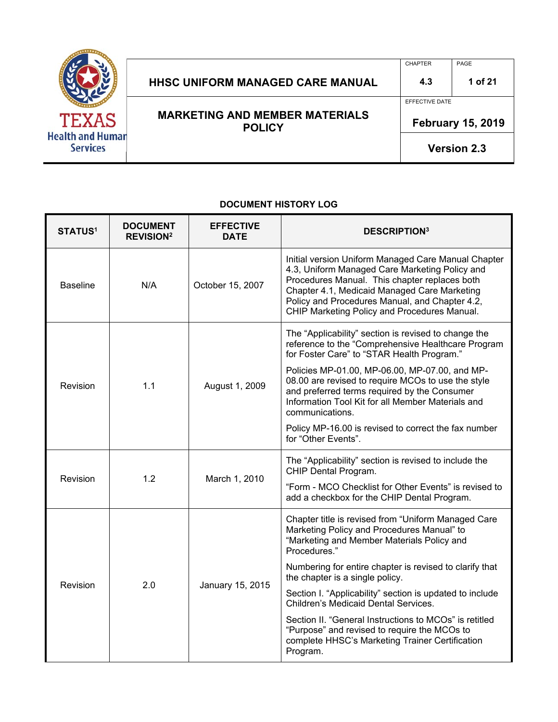

## HHSC UNIFORM MANAGED CARE MANUAL 14.3 1 of 21

CHAPTER PAGE

EFFECTIVE DATE

**MARKETING AND MEMBER MATERIALS POLICY** 

 **February 15, 2019** 

**Version 2.3**

### **DOCUMENT HISTORY LOG**

| <b>STATUS<sup>1</sup></b> | <b>DOCUMENT</b><br><b>REVISION<sup>2</sup></b> | <b>EFFECTIVE</b><br><b>DATE</b> | <b>DESCRIPTION3</b>                                                                                                                                                                                                                                                                                      |
|---------------------------|------------------------------------------------|---------------------------------|----------------------------------------------------------------------------------------------------------------------------------------------------------------------------------------------------------------------------------------------------------------------------------------------------------|
| <b>Baseline</b>           | N/A                                            | October 15, 2007                | Initial version Uniform Managed Care Manual Chapter<br>4.3, Uniform Managed Care Marketing Policy and<br>Procedures Manual. This chapter replaces both<br>Chapter 4.1, Medicaid Managed Care Marketing<br>Policy and Procedures Manual, and Chapter 4.2,<br>CHIP Marketing Policy and Procedures Manual. |
|                           | 1.1                                            |                                 | The "Applicability" section is revised to change the<br>reference to the "Comprehensive Healthcare Program<br>for Foster Care" to "STAR Health Program."<br>Policies MP-01.00, MP-06.00, MP-07.00, and MP-<br>08.00 are revised to require MCOs to use the style                                         |
| Revision                  |                                                | August 1, 2009                  | and preferred terms required by the Consumer<br>Information Tool Kit for all Member Materials and<br>communications.                                                                                                                                                                                     |
|                           |                                                |                                 | Policy MP-16.00 is revised to correct the fax number<br>for "Other Events".                                                                                                                                                                                                                              |
| Revision                  | 1.2                                            | March 1, 2010                   | The "Applicability" section is revised to include the<br>CHIP Dental Program.                                                                                                                                                                                                                            |
|                           |                                                |                                 | "Form - MCO Checklist for Other Events" is revised to<br>add a checkbox for the CHIP Dental Program.                                                                                                                                                                                                     |
| Revision                  | 2.0                                            | January 15, 2015                | Chapter title is revised from "Uniform Managed Care<br>Marketing Policy and Procedures Manual" to<br>"Marketing and Member Materials Policy and<br>Procedures."                                                                                                                                          |
|                           |                                                |                                 | Numbering for entire chapter is revised to clarify that<br>the chapter is a single policy.                                                                                                                                                                                                               |
|                           |                                                |                                 | Section I. "Applicability" section is updated to include<br>Children's Medicaid Dental Services.                                                                                                                                                                                                         |
|                           |                                                |                                 | Section II. "General Instructions to MCOs" is retitled<br>"Purpose" and revised to require the MCOs to<br>complete HHSC's Marketing Trainer Certification<br>Program.                                                                                                                                    |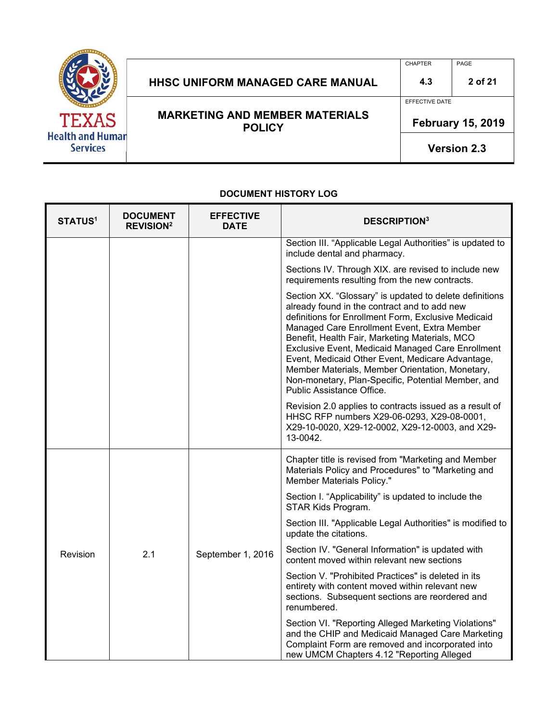

### HHSC UNIFORM MANAGED CARE MANUAL | 4.3 | 2 of 21

**MARKETING AND MEMBER MATERIALS POLICY** 

CHAPTER PAGE

EFFECTIVE DATE

 **February 15, 2019** 

**Version 2.3**

#### **DOCUMENT HISTORY LOG**

| <b>STATUS1</b> | <b>DOCUMENT</b><br><b>REVISION<sup>2</sup></b> | <b>EFFECTIVE</b><br><b>DATE</b> | <b>DESCRIPTION3</b>                                                                                                                                                                                                                                                                                                                                                                                                                                                                                                   |
|----------------|------------------------------------------------|---------------------------------|-----------------------------------------------------------------------------------------------------------------------------------------------------------------------------------------------------------------------------------------------------------------------------------------------------------------------------------------------------------------------------------------------------------------------------------------------------------------------------------------------------------------------|
|                |                                                |                                 | Section III. "Applicable Legal Authorities" is updated to<br>include dental and pharmacy.                                                                                                                                                                                                                                                                                                                                                                                                                             |
|                |                                                |                                 | Sections IV. Through XIX. are revised to include new<br>requirements resulting from the new contracts.                                                                                                                                                                                                                                                                                                                                                                                                                |
|                |                                                |                                 | Section XX. "Glossary" is updated to delete definitions<br>already found in the contract and to add new<br>definitions for Enrollment Form, Exclusive Medicaid<br>Managed Care Enrollment Event, Extra Member<br>Benefit, Health Fair, Marketing Materials, MCO<br><b>Exclusive Event, Medicaid Managed Care Enrollment</b><br>Event, Medicaid Other Event, Medicare Advantage,<br>Member Materials, Member Orientation, Monetary,<br>Non-monetary, Plan-Specific, Potential Member, and<br>Public Assistance Office. |
|                |                                                |                                 | Revision 2.0 applies to contracts issued as a result of<br>HHSC RFP numbers X29-06-0293, X29-08-0001,<br>X29-10-0020, X29-12-0002, X29-12-0003, and X29-<br>13-0042.                                                                                                                                                                                                                                                                                                                                                  |
|                |                                                |                                 | Chapter title is revised from "Marketing and Member<br>Materials Policy and Procedures" to "Marketing and<br><b>Member Materials Policy."</b>                                                                                                                                                                                                                                                                                                                                                                         |
| Revision       | 2.1                                            | September 1, 2016               | Section I. "Applicability" is updated to include the<br>STAR Kids Program.                                                                                                                                                                                                                                                                                                                                                                                                                                            |
|                |                                                |                                 | Section III. "Applicable Legal Authorities" is modified to<br>update the citations.                                                                                                                                                                                                                                                                                                                                                                                                                                   |
|                |                                                |                                 | Section IV. "General Information" is updated with<br>content moved within relevant new sections                                                                                                                                                                                                                                                                                                                                                                                                                       |
|                |                                                |                                 | Section V. "Prohibited Practices" is deleted in its<br>entirety with content moved within relevant new<br>sections. Subsequent sections are reordered and<br>renumbered.                                                                                                                                                                                                                                                                                                                                              |
|                |                                                |                                 | Section VI. "Reporting Alleged Marketing Violations"<br>and the CHIP and Medicaid Managed Care Marketing<br>Complaint Form are removed and incorporated into<br>new UMCM Chapters 4.12 "Reporting Alleged                                                                                                                                                                                                                                                                                                             |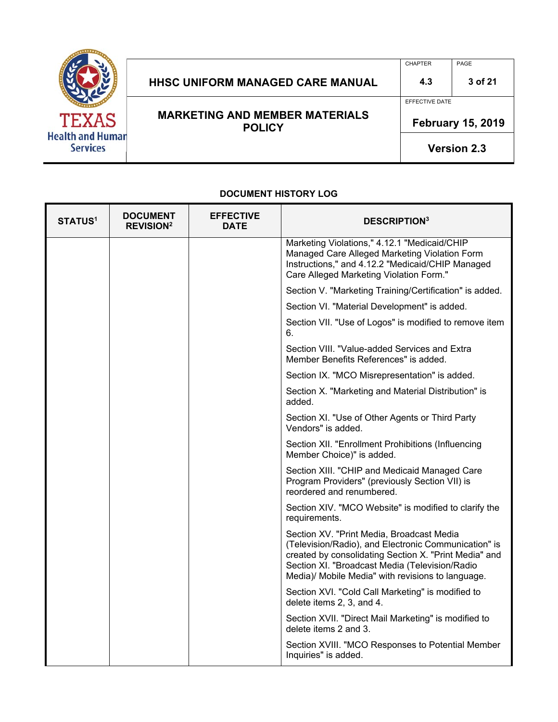

## HHSC UNIFORM MANAGED CARE MANUAL 4.3 3 of 21

**MARKETING AND MEMBER MATERIALS POLICY** 

CHAPTER PAGE

EFFECTIVE DATE

 **February 15, 2019** 

**Version 2.3**

#### **DOCUMENT HISTORY LOG**  T

| <b>STATUS1</b> | <b>DOCUMENT</b><br><b>REVISION<sup>2</sup></b> | <b>EFFECTIVE</b><br><b>DATE</b> | <b>DESCRIPTION</b> <sup>3</sup>                                                                                                                                                                                                                                   |
|----------------|------------------------------------------------|---------------------------------|-------------------------------------------------------------------------------------------------------------------------------------------------------------------------------------------------------------------------------------------------------------------|
|                |                                                |                                 | Marketing Violations," 4.12.1 "Medicaid/CHIP<br>Managed Care Alleged Marketing Violation Form<br>Instructions," and 4.12.2 "Medicaid/CHIP Managed<br>Care Alleged Marketing Violation Form."                                                                      |
|                |                                                |                                 | Section V. "Marketing Training/Certification" is added.                                                                                                                                                                                                           |
|                |                                                |                                 | Section VI. "Material Development" is added.                                                                                                                                                                                                                      |
|                |                                                |                                 | Section VII. "Use of Logos" is modified to remove item<br>6.                                                                                                                                                                                                      |
|                |                                                |                                 | Section VIII. "Value-added Services and Extra<br>Member Benefits References" is added.                                                                                                                                                                            |
|                |                                                |                                 | Section IX. "MCO Misrepresentation" is added.                                                                                                                                                                                                                     |
|                |                                                |                                 | Section X. "Marketing and Material Distribution" is<br>added.                                                                                                                                                                                                     |
|                |                                                |                                 | Section XI. "Use of Other Agents or Third Party<br>Vendors" is added.                                                                                                                                                                                             |
|                |                                                |                                 | Section XII. "Enrollment Prohibitions (Influencing<br>Member Choice)" is added.                                                                                                                                                                                   |
|                |                                                |                                 | Section XIII. "CHIP and Medicaid Managed Care<br>Program Providers" (previously Section VII) is<br>reordered and renumbered.                                                                                                                                      |
|                |                                                |                                 | Section XIV. "MCO Website" is modified to clarify the<br>requirements.                                                                                                                                                                                            |
|                |                                                |                                 | Section XV. "Print Media, Broadcast Media<br>(Television/Radio), and Electronic Communication" is<br>created by consolidating Section X. "Print Media" and<br>Section XI. "Broadcast Media (Television/Radio<br>Media)/ Mobile Media" with revisions to language. |
|                |                                                |                                 | Section XVI. "Cold Call Marketing" is modified to<br>delete items 2, 3, and 4.                                                                                                                                                                                    |
|                |                                                |                                 | Section XVII. "Direct Mail Marketing" is modified to<br>delete items 2 and 3.                                                                                                                                                                                     |
|                |                                                |                                 | Section XVIII. "MCO Responses to Potential Member<br>Inquiries" is added.                                                                                                                                                                                         |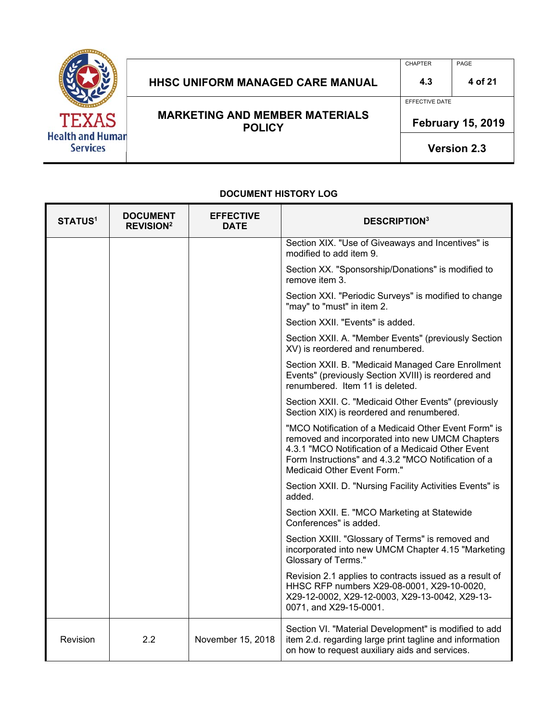

# HHSC UNIFORM MANAGED CARE MANUAL 4.3 4 of 21

**MARKETING AND MEMBER MATERIALS POLICY** 

EFFECTIVE DATE

CHAPTER PAGE

 **February 15, 2019** 

**Version 2.3**

| <b>STATUS1</b> | <b>DOCUMENT</b><br><b>REVISION<sup>2</sup></b> | <b>EFFECTIVE</b><br><b>DATE</b> | <b>DESCRIPTION3</b>                                                                                                                                                                                                                                |  |
|----------------|------------------------------------------------|---------------------------------|----------------------------------------------------------------------------------------------------------------------------------------------------------------------------------------------------------------------------------------------------|--|
|                |                                                |                                 | Section XIX. "Use of Giveaways and Incentives" is<br>modified to add item 9.                                                                                                                                                                       |  |
|                |                                                |                                 | Section XX. "Sponsorship/Donations" is modified to<br>remove item 3.                                                                                                                                                                               |  |
|                |                                                |                                 | Section XXI. "Periodic Surveys" is modified to change<br>"may" to "must" in item 2.                                                                                                                                                                |  |
|                |                                                |                                 | Section XXII. "Events" is added.                                                                                                                                                                                                                   |  |
|                |                                                |                                 | Section XXII. A. "Member Events" (previously Section<br>XV) is reordered and renumbered.                                                                                                                                                           |  |
|                |                                                |                                 | Section XXII. B. "Medicaid Managed Care Enrollment<br>Events" (previously Section XVIII) is reordered and<br>renumbered. Item 11 is deleted.                                                                                                       |  |
|                |                                                |                                 | Section XXII. C. "Medicaid Other Events" (previously<br>Section XIX) is reordered and renumbered.                                                                                                                                                  |  |
|                |                                                |                                 | "MCO Notification of a Medicaid Other Event Form" is<br>removed and incorporated into new UMCM Chapters<br>4.3.1 "MCO Notification of a Medicaid Other Event<br>Form Instructions" and 4.3.2 "MCO Notification of a<br>Medicaid Other Event Form." |  |
|                |                                                |                                 | Section XXII. D. "Nursing Facility Activities Events" is<br>added.                                                                                                                                                                                 |  |
|                |                                                |                                 | Section XXII. E. "MCO Marketing at Statewide<br>Conferences" is added.                                                                                                                                                                             |  |
|                |                                                |                                 | Section XXIII. "Glossary of Terms" is removed and<br>incorporated into new UMCM Chapter 4.15 "Marketing<br>Glossary of Terms."                                                                                                                     |  |
|                |                                                |                                 | Revision 2.1 applies to contracts issued as a result of<br>HHSC RFP numbers X29-08-0001, X29-10-0020,<br>X29-12-0002, X29-12-0003, X29-13-0042, X29-13-<br>0071, and X29-15-0001.                                                                  |  |
| Revision       | 2.2                                            | November 15, 2018               | Section VI. "Material Development" is modified to add<br>item 2.d. regarding large print tagline and information<br>on how to request auxiliary aids and services.                                                                                 |  |

#### **DOCUMENT HISTORY LOG**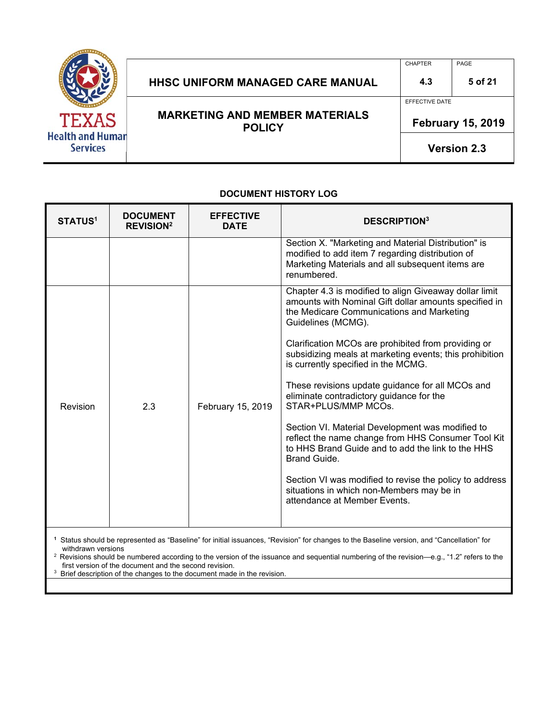

## HHSC UNIFORM MANAGED CARE MANUAL  $\vert$  4.3  $\vert$  5 of 21

**MARKETING AND MEMBER MATERIALS POLICY** 

CHAPTER PAGE

EFFECTIVE DATE

 **February 15, 2019** 

**Version 2.3**

#### **STATUS1 DOCUMENT REVISION2 EFFECTIVE DESCRIPTION3**<br>DATE **DESCRIPTION** Section X. "Marketing and Material Distribution" is modified to add item 7 regarding distribution of Marketing Materials and all subsequent items are renumbered. Revision 2.3 February 15, 2019 Chapter 4.3 is modified to align Giveaway dollar limit amounts with Nominal Gift dollar amounts specified in the Medicare Communications and Marketing Guidelines (MCMG). Clarification MCOs are prohibited from providing or subsidizing meals at marketing events; this prohibition is currently specified in the MCMG. These revisions update guidance for all MCOs and eliminate contradictory guidance for the STAR+PLUS/MMP MCOs. Section VI. Material Development was modified to reflect the name change from HHS Consumer Tool Kit to HHS Brand Guide and to add the link to the HHS Brand Guide. Section VI was modified to revise the policy to address situations in which non-Members may be in attendance at Member Events.

**DOCUMENT HISTORY LOG** 

**1** Status should be represented as "Baseline" for initial issuances, "Revision" for changes to the Baseline version, and "Cancellation" for

withdrawn versions<br>
<sup>2</sup> Revisions should be numbered according to the version of the issuance and sequential numbering of the revision—e.g., "1.2" refers to the<br>
first version of the document and the second revision.

first version of the document and the second revision. 3 Brief description of the changes to the document made in the revision.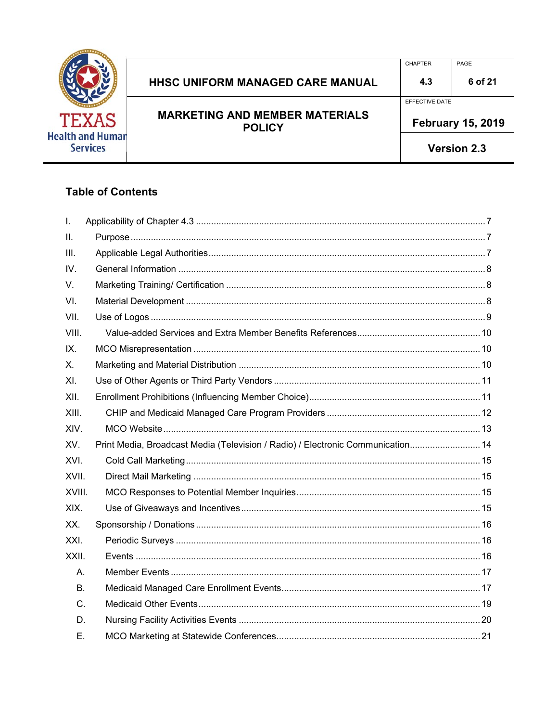

### HHSC UNIFORM MANAGED CARE MANUAL  $4.3$ **MARKETING AND MEMBER MATERIALS POLICY**

EFFECTIVE DATE

**February 15, 2019** 

Version 2.3

### **Table of Contents**

| $\mathbf{I}$ . |                                                                                 |  |
|----------------|---------------------------------------------------------------------------------|--|
| II.            |                                                                                 |  |
| III.           |                                                                                 |  |
| IV.            |                                                                                 |  |
| V.             |                                                                                 |  |
| VI.            |                                                                                 |  |
| VII.           |                                                                                 |  |
| VIII.          |                                                                                 |  |
| IX.            |                                                                                 |  |
| X.             |                                                                                 |  |
| XI.            |                                                                                 |  |
| XII.           |                                                                                 |  |
| XIII.          |                                                                                 |  |
| XIV.           |                                                                                 |  |
| XV.            | Print Media, Broadcast Media (Television / Radio) / Electronic Communication 14 |  |
| XVI.           |                                                                                 |  |
| XVII.          |                                                                                 |  |
| XVIII.         |                                                                                 |  |
| XIX.           |                                                                                 |  |
| XX.            |                                                                                 |  |
| XXI.           |                                                                                 |  |
| XXII.          |                                                                                 |  |
| Α.             |                                                                                 |  |
| В.             |                                                                                 |  |
| C.             |                                                                                 |  |
| D.             |                                                                                 |  |
| Ε.             |                                                                                 |  |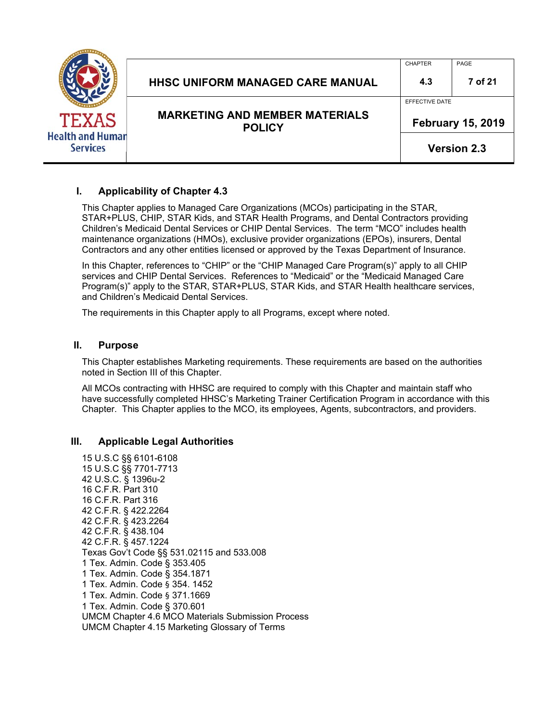|                                                            | <b>HHSC UNIFORM MANAGED CARE MANUAL</b>                | <b>CHAPTER</b><br>4.3 | PAGE<br>7 of 21                                |
|------------------------------------------------------------|--------------------------------------------------------|-----------------------|------------------------------------------------|
| <b>TEXAS</b><br><b>Health and Human</b><br><b>Services</b> | <b>MARKETING AND MEMBER MATERIALS</b><br><b>POLICY</b> | EFFECTIVE DATE        | <b>February 15, 2019</b><br><b>Version 2.3</b> |

#### **I. Applicability of Chapter 4.3**

This Chapter applies to Managed Care Organizations (MCOs) participating in the STAR, STAR+PLUS, CHIP, STAR Kids, and STAR Health Programs, and Dental Contractors providing Children's Medicaid Dental Services or CHIP Dental Services. The term "MCO" includes health maintenance organizations (HMOs), exclusive provider organizations (EPOs), insurers, Dental Contractors and any other entities licensed or approved by the Texas Department of Insurance.

In this Chapter, references to "CHIP" or the "CHIP Managed Care Program(s)" apply to all CHIP services and CHIP Dental Services. References to "Medicaid" or the "Medicaid Managed Care Program(s)" apply to the STAR, STAR+PLUS, STAR Kids, and STAR Health healthcare services, and Children's Medicaid Dental Services.

The requirements in this Chapter apply to all Programs, except where noted.

#### **II. Purpose**

This Chapter establishes Marketing requirements. These requirements are based on the authorities noted in Section III of this Chapter.

All MCOs contracting with HHSC are required to comply with this Chapter and maintain staff who have successfully completed HHSC's Marketing Trainer Certification Program in accordance with this Chapter. This Chapter applies to the MCO, its employees, Agents, subcontractors, and providers.

#### **III. Applicable Legal Authorities**

15 U.S.C §§ 6101-6108 15 U.S.C §§ 7701-7713 42 U.S.C. § 1396u-2 16 C.F.R. Part 310 16 C.F.R. Part 316 42 C.F.R. § 422.2264 42 C.F.R. § 423.2264 42 C.F.R. § 438.104 42 C.F.R. § 457.1224 Texas Gov't Code §§ 531.02115 and 533.008 1 Tex. Admin. Code § 353.405 1 Tex. Admin. Code § 354.1871 1 Tex. Admin. Code § 354. 1452 1 Tex. Admin. Code § 371.1669 1 Tex. Admin. Code § 370.601 UMCM Chapter 4.6 MCO Materials Submission Process UMCM Chapter 4.15 Marketing Glossary of Terms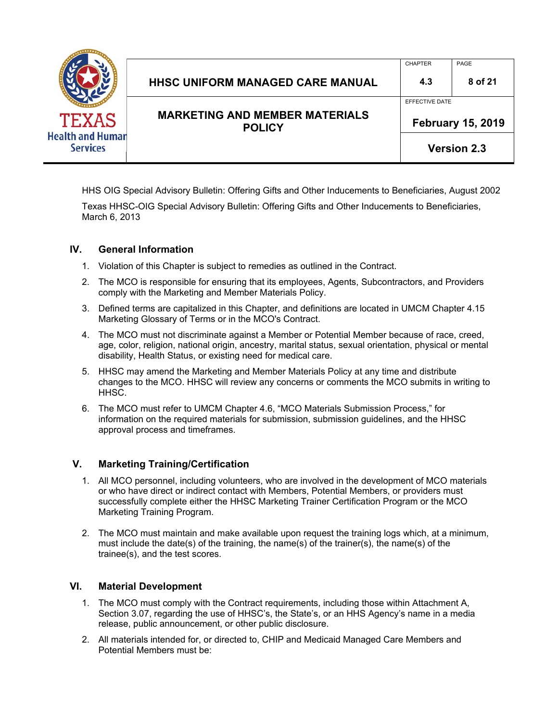

|                                                        |                | <b>Version 2.3</b>       |
|--------------------------------------------------------|----------------|--------------------------|
| <b>MARKETING AND MEMBER MATERIALS</b><br><b>POLICY</b> |                | <b>February 15, 2019</b> |
|                                                        | EFFECTIVE DATE |                          |
| <b>HHSC UNIFORM MANAGED CARE MANUAL</b>                | 4.3            | 8 of 21                  |
|                                                        | <b>CHAPTER</b> | PAGE                     |

HHS OIG Special Advisory Bulletin: Offering Gifts and Other Inducements to Beneficiaries, August 2002

Texas HHSC-OIG Special Advisory Bulletin: Offering Gifts and Other Inducements to Beneficiaries, March 6, 2013

#### **IV. General Information**

- 1. Violation of this Chapter is subject to remedies as outlined in the Contract.
- 2. The MCO is responsible for ensuring that its employees, Agents, Subcontractors, and Providers comply with the Marketing and Member Materials Policy.
- 3. Defined terms are capitalized in this Chapter, and definitions are located in UMCM Chapter 4.15 Marketing Glossary of Terms or in the MCO's Contract.
- 4. The MCO must not discriminate against a Member or Potential Member because of race, creed, age, color, religion, national origin, ancestry, marital status, sexual orientation, physical or mental disability, Health Status, or existing need for medical care.
- 5. HHSC may amend the Marketing and Member Materials Policy at any time and distribute changes to the MCO. HHSC will review any concerns or comments the MCO submits in writing to HHSC.
- 6. The MCO must refer to UMCM Chapter 4.6, "MCO Materials Submission Process," for information on the required materials for submission, submission guidelines, and the HHSC approval process and timeframes.

#### **V. Marketing Training/Certification**

- 1. All MCO personnel, including volunteers, who are involved in the development of MCO materials or who have direct or indirect contact with Members, Potential Members, or providers must successfully complete either the HHSC Marketing Trainer Certification Program or the MCO Marketing Training Program.
- 2. The MCO must maintain and make available upon request the training logs which, at a minimum, must include the date(s) of the training, the name(s) of the trainer(s), the name(s) of the trainee(s), and the test scores.

#### **VI. Material Development**

- 1. The MCO must comply with the Contract requirements, including those within Attachment A, Section 3.07, regarding the use of HHSC's, the State's, or an HHS Agency's name in a media release, public announcement, or other public disclosure.
- 2. All materials intended for, or directed to, CHIP and Medicaid Managed Care Members and Potential Members must be: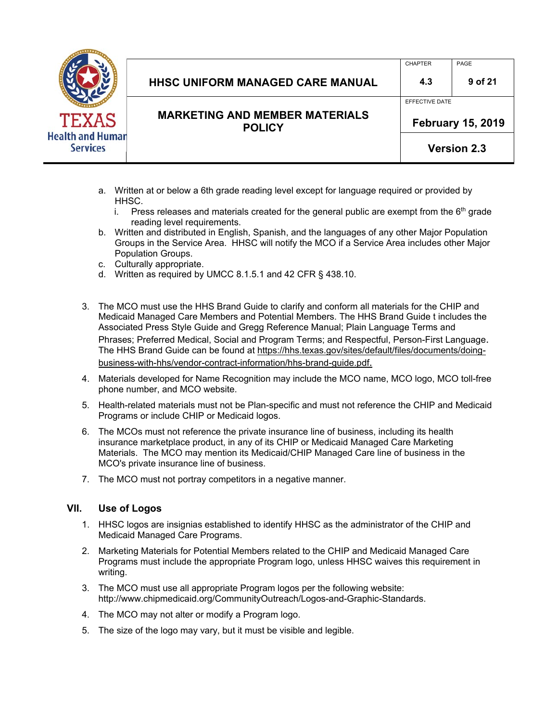

### HHSC UNIFORM MANAGED CARE MANUAL **4.3** 9 of 21

CHAPTER PAGE

EFFECTIVE DATE

**MARKETING AND MEMBER MATERIALS POLICY** 

 **February 15, 2019** 

**Version 2.3**

- a. Written at or below a 6th grade reading level except for language required or provided by HHSC.
	- i. Press releases and materials created for the general public are exempt from the  $6<sup>th</sup>$  grade reading level requirements.
- b. Written and distributed in English, Spanish, and the languages of any other Major Population Groups in the Service Area. HHSC will notify the MCO if a Service Area includes other Major Population Groups.
- c. Culturally appropriate.
- d. Written as required by UMCC 8.1.5.1 and 42 CFR § 438.10.
- 3. The MCO must use the HHS Brand Guide to clarify and conform all materials for the CHIP and Medicaid Managed Care Members and Potential Members. The HHS Brand Guide t includes the Associated Press Style Guide and Gregg Reference Manual; Plain Language Terms and Phrases; Preferred Medical, Social and Program Terms; and Respectful, Person-First Language. The HHS Brand Guide can be found at https://hhs.texas.gov/sites/default/files/documents/doingbusiness-with-hhs/vendor-contract-information/hhs-brand-guide.pdf.
- 4. Materials developed for Name Recognition may include the MCO name, MCO logo, MCO toll-free phone number, and MCO website.
- 5. Health-related materials must not be Plan-specific and must not reference the CHIP and Medicaid Programs or include CHIP or Medicaid logos.
- 6. The MCOs must not reference the private insurance line of business, including its health insurance marketplace product, in any of its CHIP or Medicaid Managed Care Marketing Materials. The MCO may mention its Medicaid/CHIP Managed Care line of business in the MCO's private insurance line of business.
- 7. The MCO must not portray competitors in a negative manner.

#### **VII. Use of Logos**

- 1. HHSC logos are insignias established to identify HHSC as the administrator of the CHIP and Medicaid Managed Care Programs.
- 2. Marketing Materials for Potential Members related to the CHIP and Medicaid Managed Care Programs must include the appropriate Program logo, unless HHSC waives this requirement in writing.
- 3. The MCO must use all appropriate Program logos per the following website: http://www.chipmedicaid.org/CommunityOutreach/Logos-and-Graphic-Standards.
- 4. The MCO may not alter or modify a Program logo.
- 5. The size of the logo may vary, but it must be visible and legible.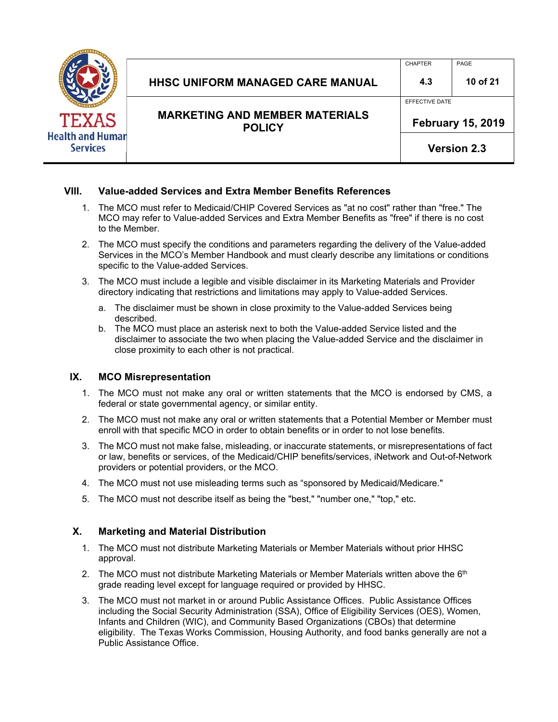| <b>Health and Human</b><br><b>Services</b> |
|--------------------------------------------|

| <b>MARKETING AND MEMBER MATERIALS</b><br><b>POLICY</b> |                | <b>February 15, 2019</b> |
|--------------------------------------------------------|----------------|--------------------------|
|                                                        | EFFECTIVE DATE |                          |
| <b>HHSC UNIFORM MANAGED CARE MANUAL</b>                | 4.3            | 10 of 21                 |
|                                                        | <b>CHAPTER</b> | PAGE                     |

**Version 2.3**

#### **VIII. Value-added Services and Extra Member Benefits References**

- 1. The MCO must refer to Medicaid/CHIP Covered Services as "at no cost" rather than "free." The MCO may refer to Value-added Services and Extra Member Benefits as "free" if there is no cost to the Member.
- 2. The MCO must specify the conditions and parameters regarding the delivery of the Value-added Services in the MCO's Member Handbook and must clearly describe any limitations or conditions specific to the Value-added Services.
- 3. The MCO must include a legible and visible disclaimer in its Marketing Materials and Provider directory indicating that restrictions and limitations may apply to Value-added Services.
	- a. The disclaimer must be shown in close proximity to the Value-added Services being described.
	- b. The MCO must place an asterisk next to both the Value-added Service listed and the disclaimer to associate the two when placing the Value-added Service and the disclaimer in close proximity to each other is not practical.

#### **IX. MCO Misrepresentation**

- 1. The MCO must not make any oral or written statements that the MCO is endorsed by CMS, a federal or state governmental agency, or similar entity.
- 2. The MCO must not make any oral or written statements that a Potential Member or Member must enroll with that specific MCO in order to obtain benefits or in order to not lose benefits.
- 3. The MCO must not make false, misleading, or inaccurate statements, or misrepresentations of fact or law, benefits or services, of the Medicaid/CHIP benefits/services, iNetwork and Out-of-Network providers or potential providers, or the MCO.
- 4. The MCO must not use misleading terms such as "sponsored by Medicaid/Medicare."
- 5. The MCO must not describe itself as being the "best," "number one," "top," etc.

#### **X. Marketing and Material Distribution**

- 1. The MCO must not distribute Marketing Materials or Member Materials without prior HHSC approval.
- 2. The MCO must not distribute Marketing Materials or Member Materials written above the  $6<sup>th</sup>$ grade reading level except for language required or provided by HHSC.
- 3. The MCO must not market in or around Public Assistance Offices. Public Assistance Offices including the Social Security Administration (SSA), Office of Eligibility Services (OES), Women, Infants and Children (WIC), and Community Based Organizations (CBOs) that determine eligibility. The Texas Works Commission, Housing Authority, and food banks generally are not a Public Assistance Office.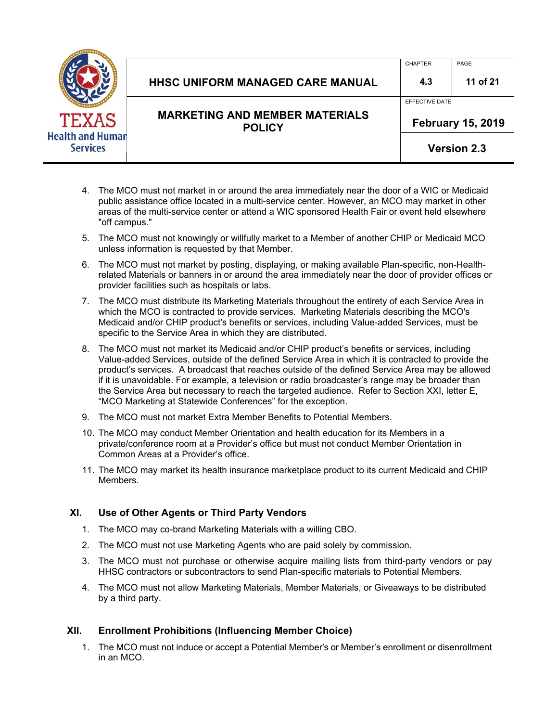| д<br><b>Health and Human</b><br><b>Services</b> |
|-------------------------------------------------|

|                                                        |                | <b>Version 2.3</b>       |
|--------------------------------------------------------|----------------|--------------------------|
| <b>MARKETING AND MEMBER MATERIALS</b><br><b>POLICY</b> |                | <b>February 15, 2019</b> |
|                                                        | EFFECTIVE DATE |                          |
| <b>HHSC UNIFORM MANAGED CARE MANUAL</b>                | 4.3            | 11 of 21                 |
|                                                        | <b>CHAPTER</b> | PAGE                     |

- 4. The MCO must not market in or around the area immediately near the door of a WIC or Medicaid public assistance office located in a multi-service center. However, an MCO may market in other areas of the multi-service center or attend a WIC sponsored Health Fair or event held elsewhere "off campus."
- 5. The MCO must not knowingly or willfully market to a Member of another CHIP or Medicaid MCO unless information is requested by that Member.
- 6. The MCO must not market by posting, displaying, or making available Plan-specific, non-Healthrelated Materials or banners in or around the area immediately near the door of provider offices or provider facilities such as hospitals or labs.
- 7. The MCO must distribute its Marketing Materials throughout the entirety of each Service Area in which the MCO is contracted to provide services. Marketing Materials describing the MCO's Medicaid and/or CHIP product's benefits or services, including Value-added Services, must be specific to the Service Area in which they are distributed.
- 8. The MCO must not market its Medicaid and/or CHIP product's benefits or services, including Value-added Services, outside of the defined Service Area in which it is contracted to provide the product's services. A broadcast that reaches outside of the defined Service Area may be allowed if it is unavoidable. For example, a television or radio broadcaster's range may be broader than the Service Area but necessary to reach the targeted audience. Refer to Section XXI, letter E, "MCO Marketing at Statewide Conferences" for the exception.
- 9. The MCO must not market Extra Member Benefits to Potential Members.
- 10. The MCO may conduct Member Orientation and health education for its Members in a private/conference room at a Provider's office but must not conduct Member Orientation in Common Areas at a Provider's office.
- 11. The MCO may market its health insurance marketplace product to its current Medicaid and CHIP Members.

#### **XI. Use of Other Agents or Third Party Vendors**

- 1. The MCO may co-brand Marketing Materials with a willing CBO.
- 2. The MCO must not use Marketing Agents who are paid solely by commission.
- 3. The MCO must not purchase or otherwise acquire mailing lists from third-party vendors or pay HHSC contractors or subcontractors to send Plan-specific materials to Potential Members.
- 4. The MCO must not allow Marketing Materials, Member Materials, or Giveaways to be distributed by a third party.

#### **XII. Enrollment Prohibitions (Influencing Member Choice)**

1. The MCO must not induce or accept a Potential Member's or Member's enrollment or disenrollment in an MCO.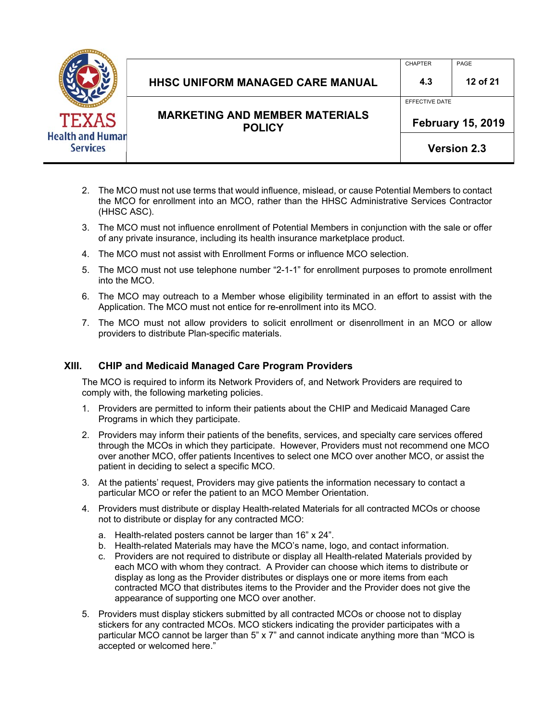

| HHSC UNIFORM MANAGED CARE MANUAL      | 4.3            | 12 of 21 |
|---------------------------------------|----------------|----------|
|                                       | EFFECTIVE DATE |          |
| <b>MARKETING AND MEMBER MATERIALS</b> |                |          |

**POLICY** 

CHAPTER PAGE

**Version 2.3**

- 2. The MCO must not use terms that would influence, mislead, or cause Potential Members to contact the MCO for enrollment into an MCO, rather than the HHSC Administrative Services Contractor (HHSC ASC).
- 3. The MCO must not influence enrollment of Potential Members in conjunction with the sale or offer of any private insurance, including its health insurance marketplace product.
- 4. The MCO must not assist with Enrollment Forms or influence MCO selection.
- 5. The MCO must not use telephone number "2-1-1" for enrollment purposes to promote enrollment into the MCO.
- 6. The MCO may outreach to a Member whose eligibility terminated in an effort to assist with the Application. The MCO must not entice for re-enrollment into its MCO.
- 7. The MCO must not allow providers to solicit enrollment or disenrollment in an MCO or allow providers to distribute Plan-specific materials.

#### **XIII. CHIP and Medicaid Managed Care Program Providers**

The MCO is required to inform its Network Providers of, and Network Providers are required to comply with, the following marketing policies.

- 1. Providers are permitted to inform their patients about the CHIP and Medicaid Managed Care Programs in which they participate.
- 2. Providers may inform their patients of the benefits, services, and specialty care services offered through the MCOs in which they participate. However, Providers must not recommend one MCO over another MCO, offer patients Incentives to select one MCO over another MCO, or assist the patient in deciding to select a specific MCO.
- 3. At the patients' request, Providers may give patients the information necessary to contact a particular MCO or refer the patient to an MCO Member Orientation.
- 4. Providers must distribute or display Health-related Materials for all contracted MCOs or choose not to distribute or display for any contracted MCO:
	- a. Health-related posters cannot be larger than 16" x 24".
	- b. Health-related Materials may have the MCO's name, logo, and contact information.
	- c. Providers are not required to distribute or display all Health-related Materials provided by each MCO with whom they contract. A Provider can choose which items to distribute or display as long as the Provider distributes or displays one or more items from each contracted MCO that distributes items to the Provider and the Provider does not give the appearance of supporting one MCO over another.
- 5. Providers must display stickers submitted by all contracted MCOs or choose not to display stickers for any contracted MCOs. MCO stickers indicating the provider participates with a particular MCO cannot be larger than 5" x 7" and cannot indicate anything more than "MCO is accepted or welcomed here."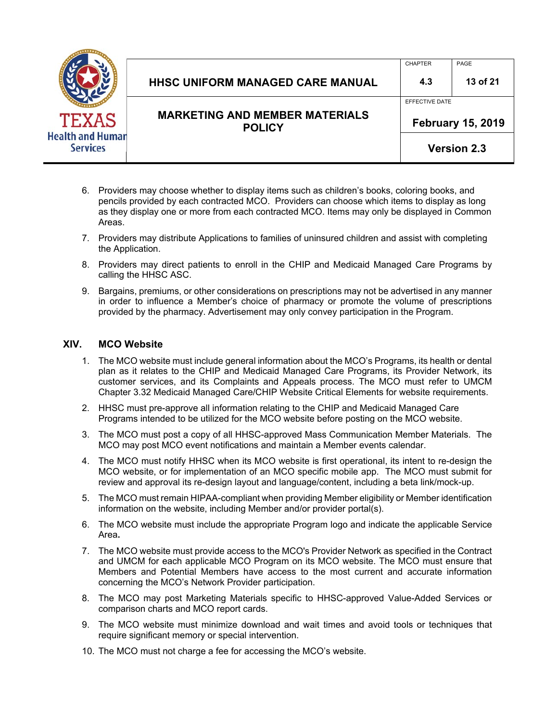

|                                                        |                | <b>Version 2.3</b>       |
|--------------------------------------------------------|----------------|--------------------------|
| <b>MARKETING AND MEMBER MATERIALS</b><br><b>POLICY</b> |                | <b>February 15, 2019</b> |
|                                                        | EFFECTIVE DATE |                          |
| <b>HHSC UNIFORM MANAGED CARE MANUAL</b>                | 4.3            | 13 of 21                 |
|                                                        | <b>CHAPTER</b> | PAGE                     |

- 6. Providers may choose whether to display items such as children's books, coloring books, and pencils provided by each contracted MCO. Providers can choose which items to display as long as they display one or more from each contracted MCO. Items may only be displayed in Common Areas.
- 7. Providers may distribute Applications to families of uninsured children and assist with completing the Application.
- 8. Providers may direct patients to enroll in the CHIP and Medicaid Managed Care Programs by calling the HHSC ASC.
- 9. Bargains, premiums, or other considerations on prescriptions may not be advertised in any manner in order to influence a Member's choice of pharmacy or promote the volume of prescriptions provided by the pharmacy. Advertisement may only convey participation in the Program.

#### **XIV. MCO Website**

- 1. The MCO website must include general information about the MCO's Programs, its health or dental plan as it relates to the CHIP and Medicaid Managed Care Programs, its Provider Network, its customer services, and its Complaints and Appeals process. The MCO must refer to UMCM Chapter 3.32 Medicaid Managed Care/CHIP Website Critical Elements for website requirements.
- 2. HHSC must pre-approve all information relating to the CHIP and Medicaid Managed Care Programs intended to be utilized for the MCO website before posting on the MCO website.
- 3. The MCO must post a copy of all HHSC-approved Mass Communication Member Materials. The MCO may post MCO event notifications and maintain a Member events calendar.
- 4. The MCO must notify HHSC when its MCO website is first operational, its intent to re-design the MCO website, or for implementation of an MCO specific mobile app. The MCO must submit for review and approval its re-design layout and language/content, including a beta link/mock-up.
- 5. The MCO must remain HIPAA-compliant when providing Member eligibility or Member identification information on the website, including Member and/or provider portal(s).
- 6. The MCO website must include the appropriate Program logo and indicate the applicable Service Area**.**
- 7. The MCO website must provide access to the MCO's Provider Network as specified in the Contract and UMCM for each applicable MCO Program on its MCO website. The MCO must ensure that Members and Potential Members have access to the most current and accurate information concerning the MCO's Network Provider participation.
- 8. The MCO may post Marketing Materials specific to HHSC-approved Value-Added Services or comparison charts and MCO report cards.
- 9. The MCO website must minimize download and wait times and avoid tools or techniques that require significant memory or special intervention.
- 10. The MCO must not charge a fee for accessing the MCO's website.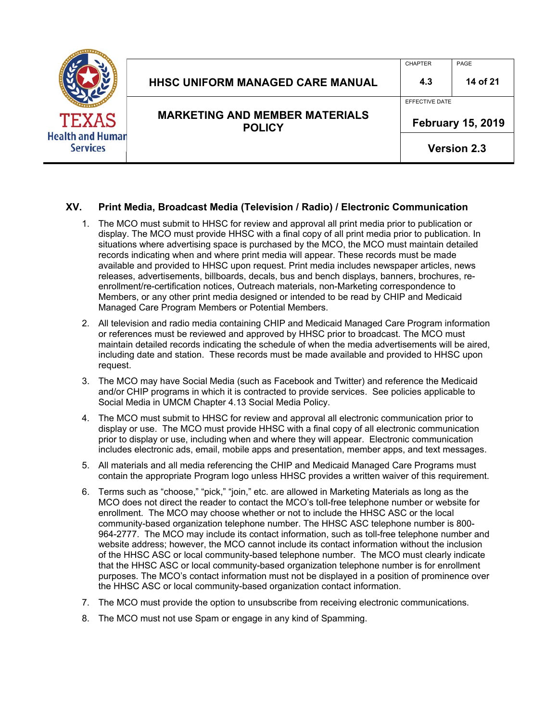|                                                            | <b>HHSC UNIFORM MANAGED CARE MANUAL</b>                | <b>CHAPTER</b><br>4.3 | PAGE<br>14 of 21                               |
|------------------------------------------------------------|--------------------------------------------------------|-----------------------|------------------------------------------------|
| <b>TEXAS</b><br><b>Health and Human</b><br><b>Services</b> | <b>MARKETING AND MEMBER MATERIALS</b><br><b>POLICY</b> | EFFECTIVE DATE        | <b>February 15, 2019</b><br><b>Version 2.3</b> |

#### **XV. Print Media, Broadcast Media (Television / Radio) / Electronic Communication**

- 1. The MCO must submit to HHSC for review and approval all print media prior to publication or display. The MCO must provide HHSC with a final copy of all print media prior to publication. In situations where advertising space is purchased by the MCO, the MCO must maintain detailed records indicating when and where print media will appear. These records must be made available and provided to HHSC upon request. Print media includes newspaper articles, news releases, advertisements, billboards, decals, bus and bench displays, banners, brochures, reenrollment/re-certification notices, Outreach materials, non-Marketing correspondence to Members, or any other print media designed or intended to be read by CHIP and Medicaid Managed Care Program Members or Potential Members.
- 2. All television and radio media containing CHIP and Medicaid Managed Care Program information or references must be reviewed and approved by HHSC prior to broadcast. The MCO must maintain detailed records indicating the schedule of when the media advertisements will be aired, including date and station. These records must be made available and provided to HHSC upon request.
- 3. The MCO may have Social Media (such as Facebook and Twitter) and reference the Medicaid and/or CHIP programs in which it is contracted to provide services. See policies applicable to Social Media in UMCM Chapter 4.13 Social Media Policy.
- 4. The MCO must submit to HHSC for review and approval all electronic communication prior to display or use. The MCO must provide HHSC with a final copy of all electronic communication prior to display or use, including when and where they will appear. Electronic communication includes electronic ads, email, mobile apps and presentation, member apps, and text messages.
- 5. All materials and all media referencing the CHIP and Medicaid Managed Care Programs must contain the appropriate Program logo unless HHSC provides a written waiver of this requirement.
- 6. Terms such as "choose," "pick," "join," etc. are allowed in Marketing Materials as long as the MCO does not direct the reader to contact the MCO's toll-free telephone number or website for enrollment. The MCO may choose whether or not to include the HHSC ASC or the local community-based organization telephone number. The HHSC ASC telephone number is 800- 964-2777. The MCO may include its contact information, such as toll-free telephone number and website address; however, the MCO cannot include its contact information without the inclusion of the HHSC ASC or local community-based telephone number. The MCO must clearly indicate that the HHSC ASC or local community-based organization telephone number is for enrollment purposes. The MCO's contact information must not be displayed in a position of prominence over the HHSC ASC or local community-based organization contact information.
- 7. The MCO must provide the option to unsubscribe from receiving electronic communications.
- 8. The MCO must not use Spam or engage in any kind of Spamming.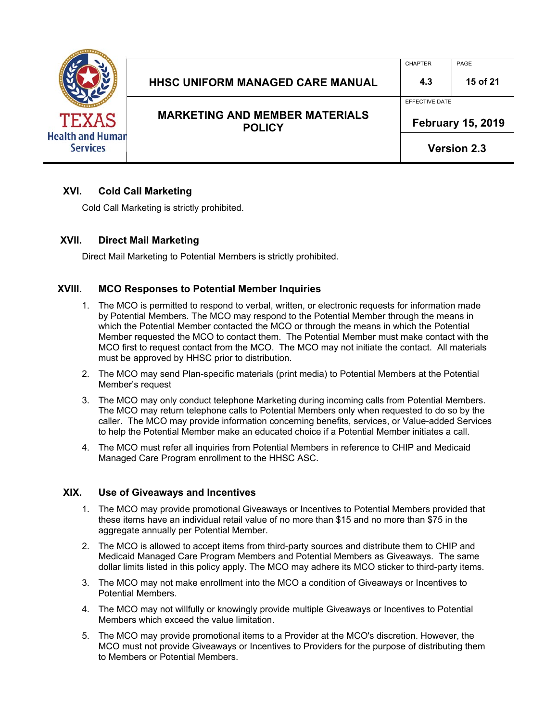

## HHSC UNIFORM MANAGED CARE MANUAL **4.3** 15 of 21 **MARKETING AND MEMBER MATERIALS**

**POLICY** 

EFFECTIVE DATE

CHAPTER PAGE

 **February 15, 2019** 

**Version 2.3**

#### **XVI. Cold Call Marketing**

Cold Call Marketing is strictly prohibited.

#### **XVII. Direct Mail Marketing**

Direct Mail Marketing to Potential Members is strictly prohibited.

#### **XVIII. MCO Responses to Potential Member Inquiries**

- 1. The MCO is permitted to respond to verbal, written, or electronic requests for information made by Potential Members. The MCO may respond to the Potential Member through the means in which the Potential Member contacted the MCO or through the means in which the Potential Member requested the MCO to contact them. The Potential Member must make contact with the MCO first to request contact from the MCO. The MCO may not initiate the contact. All materials must be approved by HHSC prior to distribution.
- 2. The MCO may send Plan-specific materials (print media) to Potential Members at the Potential Member's request
- 3. The MCO may only conduct telephone Marketing during incoming calls from Potential Members. The MCO may return telephone calls to Potential Members only when requested to do so by the caller. The MCO may provide information concerning benefits, services, or Value-added Services to help the Potential Member make an educated choice if a Potential Member initiates a call.
- 4. The MCO must refer all inquiries from Potential Members in reference to CHIP and Medicaid Managed Care Program enrollment to the HHSC ASC.

#### **XIX. Use of Giveaways and Incentives**

- 1. The MCO may provide promotional Giveaways or Incentives to Potential Members provided that these items have an individual retail value of no more than \$15 and no more than \$75 in the aggregate annually per Potential Member.
- 2. The MCO is allowed to accept items from third-party sources and distribute them to CHIP and Medicaid Managed Care Program Members and Potential Members as Giveaways. The same dollar limits listed in this policy apply. The MCO may adhere its MCO sticker to third-party items.
- 3. The MCO may not make enrollment into the MCO a condition of Giveaways or Incentives to Potential Members.
- 4. The MCO may not willfully or knowingly provide multiple Giveaways or Incentives to Potential Members which exceed the value limitation.
- 5. The MCO may provide promotional items to a Provider at the MCO's discretion. However, the MCO must not provide Giveaways or Incentives to Providers for the purpose of distributing them to Members or Potential Members.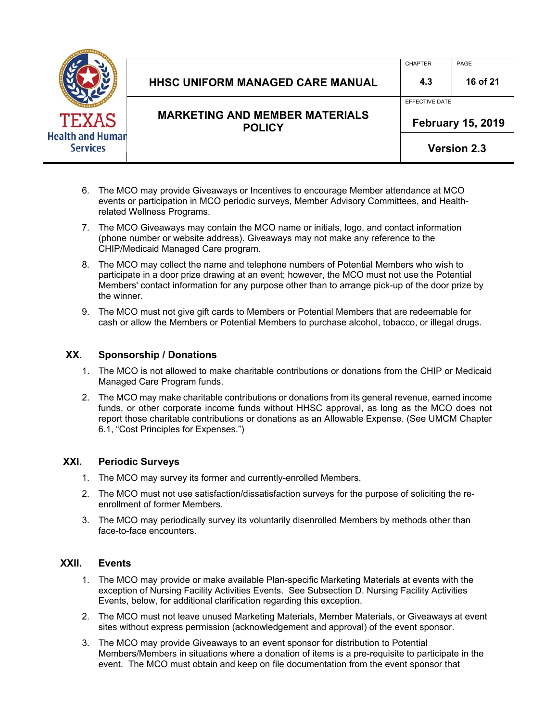

|                                         | <b>February 15, 2019</b><br><b>POLICY</b><br><b>Version 2.3</b> |          |
|-----------------------------------------|-----------------------------------------------------------------|----------|
| <b>MARKETING AND MEMBER MATERIALS</b>   |                                                                 |          |
|                                         | EFFECTIVE DATE                                                  |          |
| <b>HHSC UNIFORM MANAGED CARE MANUAL</b> | 4.3                                                             | 16 of 21 |
|                                         | <b>CHAPTER</b>                                                  | PAGE     |

- 6. The MCO may provide Giveaways or Incentives to encourage Member attendance at MCO events or participation in MCO periodic surveys, Member Advisory Committees, and Healthrelated Wellness Programs.
- 7. The MCO Giveaways may contain the MCO name or initials, logo, and contact information (phone number or website address). Giveaways may not make any reference to the CHIP/Medicaid Managed Care program.
- 8. The MCO may collect the name and telephone numbers of Potential Members who wish to participate in a door prize drawing at an event; however, the MCO must not use the Potential Members' contact information for any purpose other than to arrange pick-up of the door prize by the winner.
- 9. The MCO must not give gift cards to Members or Potential Members that are redeemable for cash or allow the Members or Potential Members to purchase alcohol, tobacco, or illegal drugs.

#### **XX. Sponsorship / Donations**

- 1. The MCO is not allowed to make charitable contributions or donations from the CHIP or Medicaid Managed Care Program funds.
- 2. The MCO may make charitable contributions or donations from its general revenue, earned income funds, or other corporate income funds without HHSC approval, as long as the MCO does not report those charitable contributions or donations as an Allowable Expense. (See UMCM Chapter 6.1, "Cost Principles for Expenses.")

#### **XXI. Periodic Surveys**

- 1. The MCO may survey its former and currently-enrolled Members.
- 2. The MCO must not use satisfaction/dissatisfaction surveys for the purpose of soliciting the reenrollment of former Members.
- 3. The MCO may periodically survey its voluntarily disenrolled Members by methods other than face-to-face encounters.

#### **XXII. Events**

- 1. The MCO may provide or make available Plan-specific Marketing Materials at events with the exception of Nursing Facility Activities Events. See Subsection D. Nursing Facility Activities Events, below, for additional clarification regarding this exception.
- 2. The MCO must not leave unused Marketing Materials, Member Materials, or Giveaways at event sites without express permission (acknowledgement and approval) of the event sponsor.
- 3. The MCO may provide Giveaways to an event sponsor for distribution to Potential Members/Members in situations where a donation of items is a pre-requisite to participate in the event. The MCO must obtain and keep on file documentation from the event sponsor that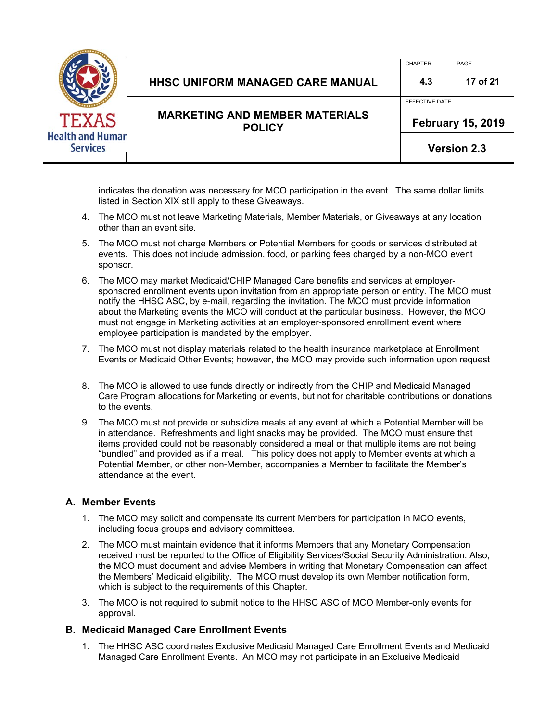

| HHSC UNIFORM MANAGED CARE MANUAL      | 4.3            | 17 of 21 |  |
|---------------------------------------|----------------|----------|--|
|                                       | EFFECTIVE DATE |          |  |
| <b>MARKETING AND MEMBER MATERIALS</b> | F.L. 4F 8846   |          |  |

CHAPTER PAGE

**Version 2.3**

indicates the donation was necessary for MCO participation in the event. The same dollar limits listed in Section XIX still apply to these Giveaways.

4. The MCO must not leave Marketing Materials, Member Materials, or Giveaways at any location other than an event site.

**POLICY** 

- 5. The MCO must not charge Members or Potential Members for goods or services distributed at events. This does not include admission, food, or parking fees charged by a non-MCO event sponsor.
- 6. The MCO may market Medicaid/CHIP Managed Care benefits and services at employersponsored enrollment events upon invitation from an appropriate person or entity. The MCO must notify the HHSC ASC, by e-mail, regarding the invitation. The MCO must provide information about the Marketing events the MCO will conduct at the particular business. However, the MCO must not engage in Marketing activities at an employer-sponsored enrollment event where employee participation is mandated by the employer.
- 7. The MCO must not display materials related to the health insurance marketplace at Enrollment Events or Medicaid Other Events; however, the MCO may provide such information upon request
- 8. The MCO is allowed to use funds directly or indirectly from the CHIP and Medicaid Managed Care Program allocations for Marketing or events, but not for charitable contributions or donations to the events.
- 9. The MCO must not provide or subsidize meals at any event at which a Potential Member will be in attendance. Refreshments and light snacks may be provided. The MCO must ensure that items provided could not be reasonably considered a meal or that multiple items are not being "bundled" and provided as if a meal. This policy does not apply to Member events at which a Potential Member, or other non-Member, accompanies a Member to facilitate the Member's attendance at the event.

#### **A. Member Events**

- 1. The MCO may solicit and compensate its current Members for participation in MCO events, including focus groups and advisory committees.
- 2. The MCO must maintain evidence that it informs Members that any Monetary Compensation received must be reported to the Office of Eligibility Services/Social Security Administration. Also, the MCO must document and advise Members in writing that Monetary Compensation can affect the Members' Medicaid eligibility. The MCO must develop its own Member notification form, which is subject to the requirements of this Chapter.
- 3. The MCO is not required to submit notice to the HHSC ASC of MCO Member-only events for approval.

#### **B. Medicaid Managed Care Enrollment Events**

1. The HHSC ASC coordinates Exclusive Medicaid Managed Care Enrollment Events and Medicaid Managed Care Enrollment Events. An MCO may not participate in an Exclusive Medicaid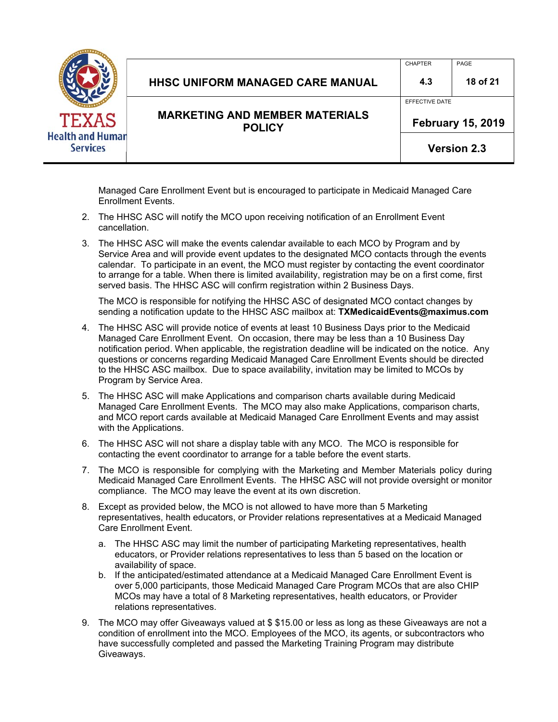| <b>Health and Humar</b><br><b>Services</b> |  |
|--------------------------------------------|--|

| <b>MARKETING AND MEMBER MATERIALS</b><br><b>POLICY</b> | <b>February 15, 2019</b> |          |
|--------------------------------------------------------|--------------------------|----------|
|                                                        | EFFECTIVE DATE           |          |
| <b>HHSC UNIFORM MANAGED CARE MANUAL</b>                | 4.3                      | 18 of 21 |
|                                                        | <b>CHAPTER</b>           | PAGE     |

**Version 2.3**

Managed Care Enrollment Event but is encouraged to participate in Medicaid Managed Care Enrollment Events.

- 2. The HHSC ASC will notify the MCO upon receiving notification of an Enrollment Event cancellation.
- 3. The HHSC ASC will make the events calendar available to each MCO by Program and by Service Area and will provide event updates to the designated MCO contacts through the events calendar. To participate in an event, the MCO must register by contacting the event coordinator to arrange for a table. When there is limited availability, registration may be on a first come, first served basis. The HHSC ASC will confirm registration within 2 Business Days.

The MCO is responsible for notifying the HHSC ASC of designated MCO contact changes by sending a notification update to the HHSC ASC mailbox at: **TXMedicaidEvents@maximus.com**

- 4. The HHSC ASC will provide notice of events at least 10 Business Days prior to the Medicaid Managed Care Enrollment Event. On occasion, there may be less than a 10 Business Day notification period. When applicable, the registration deadline will be indicated on the notice. Any questions or concerns regarding Medicaid Managed Care Enrollment Events should be directed to the HHSC ASC mailbox. Due to space availability, invitation may be limited to MCOs by Program by Service Area.
- 5. The HHSC ASC will make Applications and comparison charts available during Medicaid Managed Care Enrollment Events. The MCO may also make Applications, comparison charts, and MCO report cards available at Medicaid Managed Care Enrollment Events and may assist with the Applications.
- 6. The HHSC ASC will not share a display table with any MCO. The MCO is responsible for contacting the event coordinator to arrange for a table before the event starts.
- 7. The MCO is responsible for complying with the Marketing and Member Materials policy during Medicaid Managed Care Enrollment Events. The HHSC ASC will not provide oversight or monitor compliance. The MCO may leave the event at its own discretion.
- 8. Except as provided below, the MCO is not allowed to have more than 5 Marketing representatives, health educators, or Provider relations representatives at a Medicaid Managed Care Enrollment Event.
	- a. The HHSC ASC may limit the number of participating Marketing representatives, health educators, or Provider relations representatives to less than 5 based on the location or availability of space.
	- b. If the anticipated/estimated attendance at a Medicaid Managed Care Enrollment Event is over 5,000 participants, those Medicaid Managed Care Program MCOs that are also CHIP MCOs may have a total of 8 Marketing representatives, health educators, or Provider relations representatives.
- 9. The MCO may offer Giveaways valued at \$ \$15.00 or less as long as these Giveaways are not a condition of enrollment into the MCO. Employees of the MCO, its agents, or subcontractors who have successfully completed and passed the Marketing Training Program may distribute Giveaways.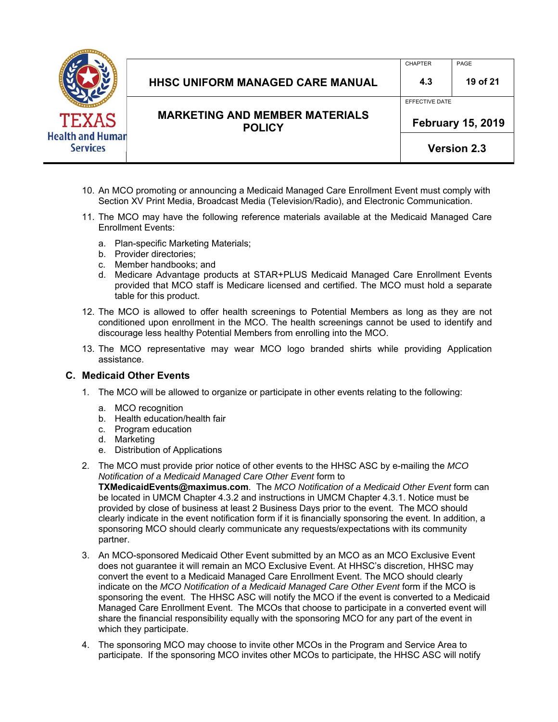

| HHSC UNIFORM MANAGED CARE MANUAL | 4.3            | 19 of 21 |
|----------------------------------|----------------|----------|
|                                  | EFFECTIVE DATE |          |

CHAPTER PAGE

**Version 2.3**

- 10. An MCO promoting or announcing a Medicaid Managed Care Enrollment Event must comply with Section XV Print Media, Broadcast Media (Television/Radio), and Electronic Communication.
- 11. The MCO may have the following reference materials available at the Medicaid Managed Care Enrollment Events:
	- a. Plan-specific Marketing Materials;
	- b. Provider directories;
	- c. Member handbooks; and
	- d. Medicare Advantage products at STAR+PLUS Medicaid Managed Care Enrollment Events provided that MCO staff is Medicare licensed and certified. The MCO must hold a separate table for this product.
- 12. The MCO is allowed to offer health screenings to Potential Members as long as they are not conditioned upon enrollment in the MCO. The health screenings cannot be used to identify and discourage less healthy Potential Members from enrolling into the MCO.
- 13. The MCO representative may wear MCO logo branded shirts while providing Application assistance.

#### **C. Medicaid Other Events**

- 1. The MCO will be allowed to organize or participate in other events relating to the following:
	- a. MCO recognition
	- b. Health education/health fair
	- c. Program education
	- d. Marketing
	- e. Distribution of Applications
- 2. The MCO must provide prior notice of other events to the HHSC ASC by e-mailing the *MCO Notification of a Medicaid Managed Care Other Event* form to **TXMedicaidEvents@maximus.com**. The *MCO Notification of a Medicaid Other Event* form can be located in UMCM Chapter 4.3.2 and instructions in UMCM Chapter 4.3.1. Notice must be provided by close of business at least 2 Business Days prior to the event. The MCO should clearly indicate in the event notification form if it is financially sponsoring the event. In addition, a sponsoring MCO should clearly communicate any requests/expectations with its community partner.
- 3. An MCO-sponsored Medicaid Other Event submitted by an MCO as an MCO Exclusive Event does not guarantee it will remain an MCO Exclusive Event. At HHSC's discretion, HHSC may convert the event to a Medicaid Managed Care Enrollment Event. The MCO should clearly indicate on the *MCO Notification of a Medicaid Managed Care Other Event* form if the MCO is sponsoring the event. The HHSC ASC will notify the MCO if the event is converted to a Medicaid Managed Care Enrollment Event. The MCOs that choose to participate in a converted event will share the financial responsibility equally with the sponsoring MCO for any part of the event in which they participate.
- 4. The sponsoring MCO may choose to invite other MCOs in the Program and Service Area to participate. If the sponsoring MCO invites other MCOs to participate, the HHSC ASC will notify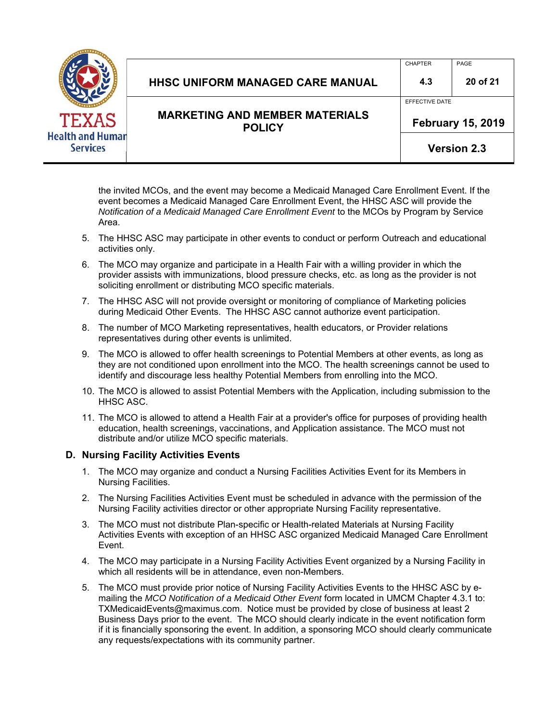

|                                                        |                          | <b>Version 2.3</b> |
|--------------------------------------------------------|--------------------------|--------------------|
| <b>MARKETING AND MEMBER MATERIALS</b><br><b>POLICY</b> | <b>February 15, 2019</b> |                    |
|                                                        | EFFECTIVE DATE           |                    |
| <b>HHSC UNIFORM MANAGED CARE MANUAL</b>                | 4.3                      | 20 of 21           |
|                                                        | <b>CHAPTER</b>           | PAGE               |

the invited MCOs, and the event may become a Medicaid Managed Care Enrollment Event. If the event becomes a Medicaid Managed Care Enrollment Event, the HHSC ASC will provide the *Notification of a Medicaid Managed Care Enrollment Event* to the MCOs by Program by Service Area.

- 5. The HHSC ASC may participate in other events to conduct or perform Outreach and educational activities only.
- 6. The MCO may organize and participate in a Health Fair with a willing provider in which the provider assists with immunizations, blood pressure checks, etc. as long as the provider is not soliciting enrollment or distributing MCO specific materials.
- 7. The HHSC ASC will not provide oversight or monitoring of compliance of Marketing policies during Medicaid Other Events. The HHSC ASC cannot authorize event participation.
- 8. The number of MCO Marketing representatives, health educators, or Provider relations representatives during other events is unlimited.
- 9. The MCO is allowed to offer health screenings to Potential Members at other events, as long as they are not conditioned upon enrollment into the MCO. The health screenings cannot be used to identify and discourage less healthy Potential Members from enrolling into the MCO.
- 10. The MCO is allowed to assist Potential Members with the Application, including submission to the HHSC ASC.
- 11. The MCO is allowed to attend a Health Fair at a provider's office for purposes of providing health education, health screenings, vaccinations, and Application assistance. The MCO must not distribute and/or utilize MCO specific materials.

#### **D. Nursing Facility Activities Events**

- 1. The MCO may organize and conduct a Nursing Facilities Activities Event for its Members in Nursing Facilities.
- 2. The Nursing Facilities Activities Event must be scheduled in advance with the permission of the Nursing Facility activities director or other appropriate Nursing Facility representative.
- 3. The MCO must not distribute Plan-specific or Health-related Materials at Nursing Facility Activities Events with exception of an HHSC ASC organized Medicaid Managed Care Enrollment Event.
- 4. The MCO may participate in a Nursing Facility Activities Event organized by a Nursing Facility in which all residents will be in attendance, even non-Members.
- 5. The MCO must provide prior notice of Nursing Facility Activities Events to the HHSC ASC by emailing the *MCO Notification of a Medicaid Other Event* form located in UMCM Chapter 4.3.1 to: TXMedicaidEvents@maximus.com. Notice must be provided by close of business at least 2 Business Days prior to the event. The MCO should clearly indicate in the event notification form if it is financially sponsoring the event. In addition, a sponsoring MCO should clearly communicate any requests/expectations with its community partner.